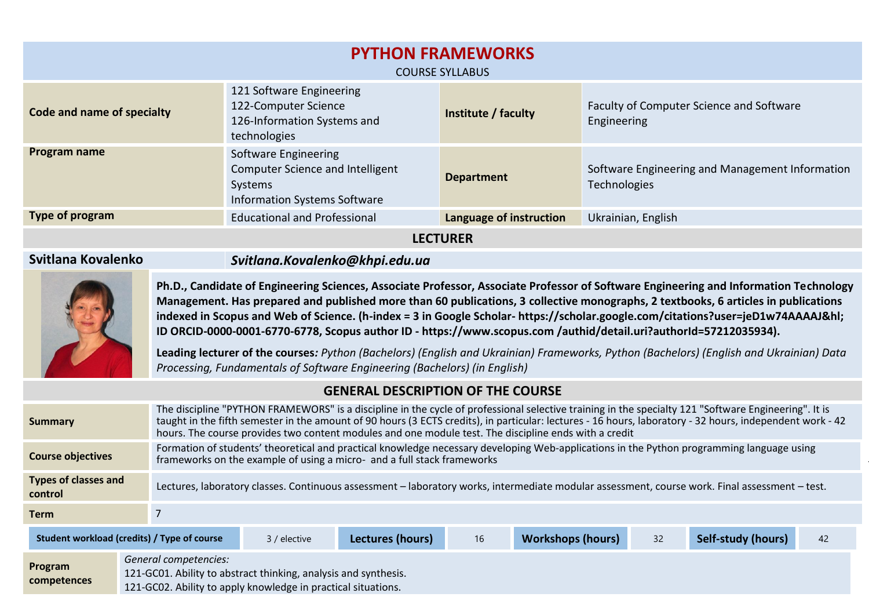| <b>PYTHON FRAMEWORKS</b><br><b>COURSE SYLLABUS</b>                                                                                                                                                                                                                                                                                                                                                                                                                                                                                                                                                                                                                                                                                                         |                                                                                                                                                                                                                                                                                                                                                                                                                            |                                                                                                                                                                                                                                   |                     |                                                                 |  |  |  |
|------------------------------------------------------------------------------------------------------------------------------------------------------------------------------------------------------------------------------------------------------------------------------------------------------------------------------------------------------------------------------------------------------------------------------------------------------------------------------------------------------------------------------------------------------------------------------------------------------------------------------------------------------------------------------------------------------------------------------------------------------------|----------------------------------------------------------------------------------------------------------------------------------------------------------------------------------------------------------------------------------------------------------------------------------------------------------------------------------------------------------------------------------------------------------------------------|-----------------------------------------------------------------------------------------------------------------------------------------------------------------------------------------------------------------------------------|---------------------|-----------------------------------------------------------------|--|--|--|
| Code and name of specialty                                                                                                                                                                                                                                                                                                                                                                                                                                                                                                                                                                                                                                                                                                                                 |                                                                                                                                                                                                                                                                                                                                                                                                                            | 121 Software Engineering<br>122-Computer Science<br>126-Information Systems and<br>technologies                                                                                                                                   | Institute / faculty | Faculty of Computer Science and Software<br>Engineering         |  |  |  |
| Program name                                                                                                                                                                                                                                                                                                                                                                                                                                                                                                                                                                                                                                                                                                                                               |                                                                                                                                                                                                                                                                                                                                                                                                                            | Software Engineering<br><b>Computer Science and Intelligent</b><br><b>Systems</b><br><b>Information Systems Software</b>                                                                                                          | <b>Department</b>   | Software Engineering and Management Information<br>Technologies |  |  |  |
| Type of program                                                                                                                                                                                                                                                                                                                                                                                                                                                                                                                                                                                                                                                                                                                                            |                                                                                                                                                                                                                                                                                                                                                                                                                            | <b>Educational and Professional</b><br>Language of instruction                                                                                                                                                                    |                     | Ukrainian, English                                              |  |  |  |
| <b>LECTURER</b>                                                                                                                                                                                                                                                                                                                                                                                                                                                                                                                                                                                                                                                                                                                                            |                                                                                                                                                                                                                                                                                                                                                                                                                            |                                                                                                                                                                                                                                   |                     |                                                                 |  |  |  |
| Svitlana Kovalenko                                                                                                                                                                                                                                                                                                                                                                                                                                                                                                                                                                                                                                                                                                                                         |                                                                                                                                                                                                                                                                                                                                                                                                                            | Svitlana.Kovalenko@khpi.edu.ua                                                                                                                                                                                                    |                     |                                                                 |  |  |  |
| Ph.D., Candidate of Engineering Sciences, Associate Professor, Associate Professor of Software Engineering and Information Technology<br>Management. Has prepared and published more than 60 publications, 3 collective monographs, 2 textbooks, 6 articles in publications<br>indexed in Scopus and Web of Science. (h-index = 3 in Google Scholar- https://scholar.google.com/citations?user=jeD1w74AAAAJ&hl<br>ID ORCID-0000-0001-6770-6778, Scopus author ID - https://www.scopus.com/authid/detail.uri?authorId=57212035934).<br>Leading lecturer of the courses: Python (Bachelors) (English and Ukrainian) Frameworks, Python (Bachelors) (English and Ukrainian) Data<br>Processing, Fundamentals of Software Engineering (Bachelors) (in English) |                                                                                                                                                                                                                                                                                                                                                                                                                            |                                                                                                                                                                                                                                   |                     |                                                                 |  |  |  |
| <b>GENERAL DESCRIPTION OF THE COURSE</b>                                                                                                                                                                                                                                                                                                                                                                                                                                                                                                                                                                                                                                                                                                                   |                                                                                                                                                                                                                                                                                                                                                                                                                            |                                                                                                                                                                                                                                   |                     |                                                                 |  |  |  |
| <b>Summary</b>                                                                                                                                                                                                                                                                                                                                                                                                                                                                                                                                                                                                                                                                                                                                             | The discipline "PYTHON FRAMEWORS" is a discipline in the cycle of professional selective training in the specialty 121 "Software Engineering". It is<br>taught in the fifth semester in the amount of 90 hours (3 ECTS credits), in particular: lectures - 16 hours, laboratory - 32 hours, independent work - 42<br>hours. The course provides two content modules and one module test. The discipline ends with a credit |                                                                                                                                                                                                                                   |                     |                                                                 |  |  |  |
|                                                                                                                                                                                                                                                                                                                                                                                                                                                                                                                                                                                                                                                                                                                                                            |                                                                                                                                                                                                                                                                                                                                                                                                                            | $\mathcal{L}$ and the state of the state of the state of the state of the state of the state of the state of the state of the state of the state of the state of the state of the state of the state of the state of the state of |                     | <b>Service Control</b>                                          |  |  |  |

Formation of students' theoretical and practical knowledge necessary developing Web-applications in the Python programming language using frameworks on the example of using a micro- and a full stack frameworks

**Types of classes and** 

**Course objectives**

**control** Lectures, laboratory classes. Continuous assessment – laboratory works, intermediate modular assessment, course work. Final assessment – test.

frameworks on the example of using a microframework (Flash) and a full state  $\frac{1}{\sqrt{2}}$ 

| <b>Term</b>                                                 |                                                                                                                                                           |  |                  |    |                          |    |                    |    |
|-------------------------------------------------------------|-----------------------------------------------------------------------------------------------------------------------------------------------------------|--|------------------|----|--------------------------|----|--------------------|----|
| Student workload (credits) / Type of course<br>3 / elective |                                                                                                                                                           |  | Lectures (hours) | 16 | <b>Workshops (hours)</b> | 32 | Self-study (hours) | 42 |
| Program<br>competences                                      | General competencies:<br>121-GC01. Ability to abstract thinking, analysis and synthesis.<br>121-GC02. Ability to apply knowledge in practical situations. |  |                  |    |                          |    |                    |    |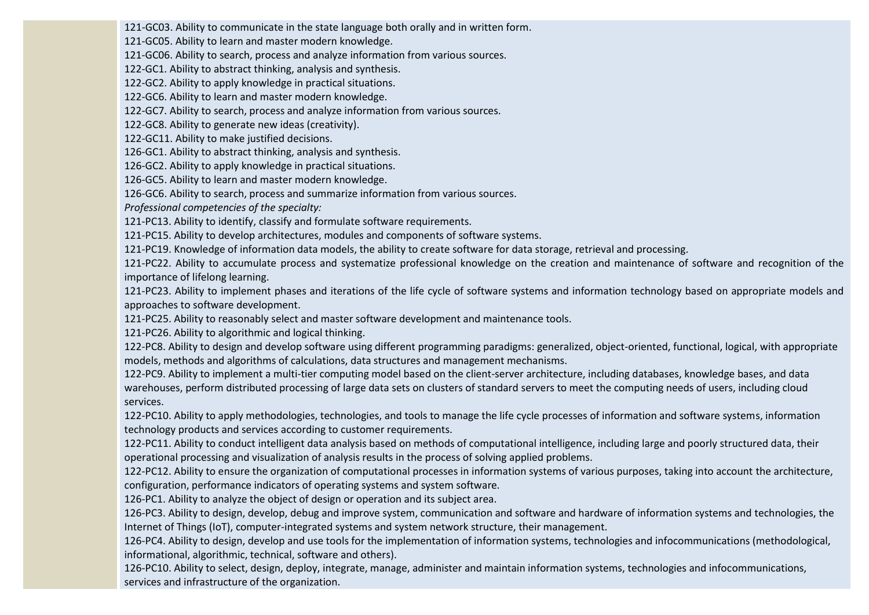121-GC03. Ability to communicate in the state language both orally and in written form.

121-GC05. Ability to learn and master modern knowledge.

121-GC06. Ability to search, process and analyze information from various sources.

122-GC1. Ability to abstract thinking, analysis and synthesis.

122-GC2. Ability to apply knowledge in practical situations.

122-GC6. Ability to learn and master modern knowledge.

122-GC7. Ability to search, process and analyze information from various sources.

122-GC8. Ability to generate new ideas (creativity).

122-GC11. Ability to make justified decisions.

126-GC1. Ability to abstract thinking, analysis and synthesis.

126-GC2. Ability to apply knowledge in practical situations.

126-GC5. Ability to learn and master modern knowledge.

126-GC6. Ability to search, process and summarize information from various sources.

*Professional competencies of the specialty:*

121-PC13. Ability to identify, classify and formulate software requirements.

121-PC15. Ability to develop architectures, modules and components of software systems.

121-PC19. Knowledge of information data models, the ability to create software for data storage, retrieval and processing.

121-PC22. Ability to accumulate process and systematize professional knowledge on the creation and maintenance of software and recognition of the importance of lifelong learning.

121-PC23. Ability to implement phases and iterations of the life cycle of software systems and information technology based on appropriate models and approaches to software development.

121-PC25. Ability to reasonably select and master software development and maintenance tools.

121-PC26. Ability to algorithmic and logical thinking.

122-PC8. Ability to design and develop software using different programming paradigms: generalized, object-oriented, functional, logical, with appropriate models, methods and algorithms of calculations, data structures and management mechanisms.

122-PC9. Ability to implement a multi-tier computing model based on the client-server architecture, including databases, knowledge bases, and data warehouses, perform distributed processing of large data sets on clusters of standard servers to meet the computing needs of users, including cloud services.

122-PC10. Ability to apply methodologies, technologies, and tools to manage the life cycle processes of information and software systems, information technology products and services according to customer requirements.

122-PC11. Ability to conduct intelligent data analysis based on methods of computational intelligence, including large and poorly structured data, their operational processing and visualization of analysis results in the process of solving applied problems.

122-PC12. Ability to ensure the organization of computational processes in information systems of various purposes, taking into account the architecture, configuration, performance indicators of operating systems and system software.

126-PC1. Ability to analyze the object of design or operation and its subject area.

126-PC3. Ability to design, develop, debug and improve system, communication and software and hardware of information systems and technologies, the Internet of Things (IoT), computer-integrated systems and system network structure, their management.

126-PC4. Ability to design, develop and use tools for the implementation of information systems, technologies and infocommunications (methodological, informational, algorithmic, technical, software and others).

126-PC10. Ability to select, design, deploy, integrate, manage, administer and maintain information systems, technologies and infocommunications, services and infrastructure of the organization.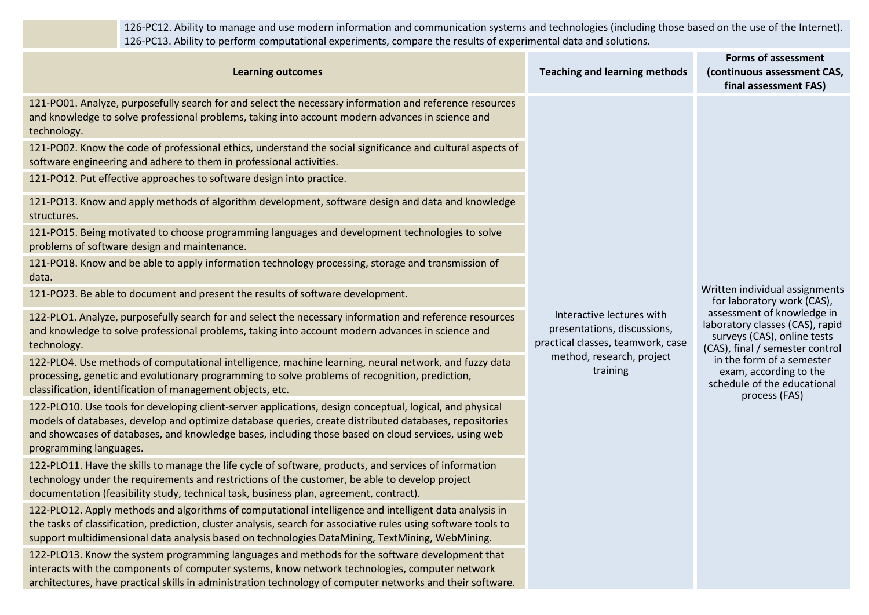126-PC12. Ability to manage and use modern information and communication systems and technologies (including those based on the use of the Internet). 126-PC13. Ability to perform computational experiments, compare the results of experimental data and solutions.

| <b>Learning outcomes</b>                                                                                                                                                                                                                                                                                                                            | <b>Teaching and learning methods</b>                                                          | <b>Forms of assessment</b><br>(continuous assessment CAS,<br>final assessment FAS)                                              |
|-----------------------------------------------------------------------------------------------------------------------------------------------------------------------------------------------------------------------------------------------------------------------------------------------------------------------------------------------------|-----------------------------------------------------------------------------------------------|---------------------------------------------------------------------------------------------------------------------------------|
| 121-PO01. Analyze, purposefully search for and select the necessary information and reference resources<br>and knowledge to solve professional problems, taking into account modern advances in science and<br>technology.                                                                                                                          |                                                                                               |                                                                                                                                 |
| 121-PO02. Know the code of professional ethics, understand the social significance and cultural aspects of<br>software engineering and adhere to them in professional activities.                                                                                                                                                                   |                                                                                               |                                                                                                                                 |
| 121-PO12. Put effective approaches to software design into practice.                                                                                                                                                                                                                                                                                |                                                                                               |                                                                                                                                 |
| 121-PO13. Know and apply methods of algorithm development, software design and data and knowledge<br>structures.                                                                                                                                                                                                                                    |                                                                                               |                                                                                                                                 |
| 121-PO15. Being motivated to choose programming languages and development technologies to solve<br>problems of software design and maintenance.                                                                                                                                                                                                     |                                                                                               |                                                                                                                                 |
| 121-PO18. Know and be able to apply information technology processing, storage and transmission of<br>data.                                                                                                                                                                                                                                         |                                                                                               |                                                                                                                                 |
| 121-PO23. Be able to document and present the results of software development.                                                                                                                                                                                                                                                                      |                                                                                               | Written individual assignments<br>for laboratory work (CAS),                                                                    |
| 122-PLO1. Analyze, purposefully search for and select the necessary information and reference resources<br>and knowledge to solve professional problems, taking into account modern advances in science and<br>technology.                                                                                                                          | Interactive lectures with<br>presentations, discussions,<br>practical classes, teamwork, case | assessment of knowledge in<br>laboratory classes (CAS), rapid<br>surveys (CAS), online tests<br>(CAS), final / semester control |
| 122-PLO4. Use methods of computational intelligence, machine learning, neural network, and fuzzy data<br>processing, genetic and evolutionary programming to solve problems of recognition, prediction,<br>classification, identification of management objects, etc.                                                                               | method, research, project<br>training                                                         | in the form of a semester<br>exam, according to the<br>schedule of the educational<br>process (FAS)                             |
| 122-PLO10. Use tools for developing client-server applications, design conceptual, logical, and physical<br>models of databases, develop and optimize database queries, create distributed databases, repositories<br>and showcases of databases, and knowledge bases, including those based on cloud services, using web<br>programming languages. |                                                                                               |                                                                                                                                 |
| 122-PLO11. Have the skills to manage the life cycle of software, products, and services of information<br>technology under the requirements and restrictions of the customer, be able to develop project<br>documentation (feasibility study, technical task, business plan, agreement, contract).                                                  |                                                                                               |                                                                                                                                 |
| 122-PLO12. Apply methods and algorithms of computational intelligence and intelligent data analysis in<br>the tasks of classification, prediction, cluster analysis, search for associative rules using software tools to<br>support multidimensional data analysis based on technologies DataMining, TextMining, WebMining.                        |                                                                                               |                                                                                                                                 |
| 122-PL013. Know the system programming languages and methods for the software development that                                                                                                                                                                                                                                                      |                                                                                               |                                                                                                                                 |

em programming languages and methods fo interacts with the components of computer systems, know network technologies, computer network architectures, have practical skills in administration technology of computer networks and their software.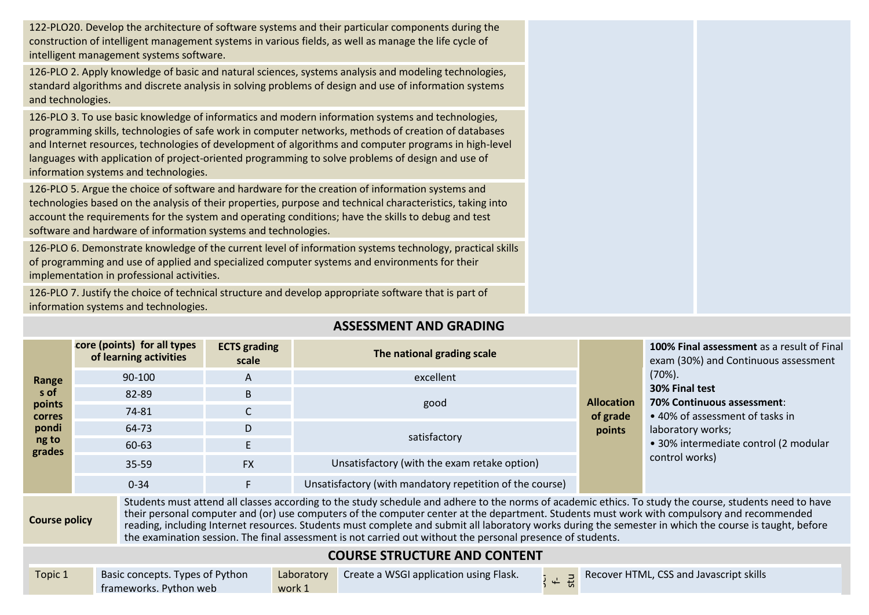122-PLO20. Develop the architecture of software systems and their particular components during the construction of intelligent management systems in various fields, as well as manage the life cycle of intelligent management systems software.

126-PLO 2. Apply knowledge of basic and natural sciences, systems analysis and modeling technologies, standard algorithms and discrete analysis in solving problems of design and use of information systems and technologies.

126-PLO 3. To use basic knowledge of informatics and modern information systems and technologies, programming skills, technologies of safe work in computer networks, methods of creation of databases and Internet resources, technologies of development of algorithms and computer programs in high-level languages with application of project-oriented programming to solve problems of design and use of information systems and technologies.

126-PLO 5. Argue the choice of software and hardware for the creation of information systems and technologies based on the analysis of their properties, purpose and technical characteristics, taking into account the requirements for the system and operating conditions; have the skills to debug and test software and hardware of information systems and technologies.

126-PLO 6. Demonstrate knowledge of the current level of information systems technology, practical skills of programming and use of applied and specialized computer systems and environments for their implementation in professional activities.

126-PLO 7. Justify the choice of technical structure and develop appropriate software that is part of information systems and technologies.

## **ASSESSMENT AND GRADING**

| Range                                                                                                                                                                                                                                                                                                                                                                                                                                                                                                                                                                                                    | core (points) for all types<br>of learning activities | <b>ECTS</b> grading<br>scale | The national grading scale                               |                                         | 100% Final assessment as a result of Final<br>exam (30%) and Continuous assessment                                                            |  |  |
|----------------------------------------------------------------------------------------------------------------------------------------------------------------------------------------------------------------------------------------------------------------------------------------------------------------------------------------------------------------------------------------------------------------------------------------------------------------------------------------------------------------------------------------------------------------------------------------------------------|-------------------------------------------------------|------------------------------|----------------------------------------------------------|-----------------------------------------|-----------------------------------------------------------------------------------------------------------------------------------------------|--|--|
|                                                                                                                                                                                                                                                                                                                                                                                                                                                                                                                                                                                                          | 90-100                                                | A                            | excellent                                                |                                         | $(70\%).$                                                                                                                                     |  |  |
| s of                                                                                                                                                                                                                                                                                                                                                                                                                                                                                                                                                                                                     | 82-89                                                 | B                            |                                                          | <b>Allocation</b><br>of grade<br>points | 30% Final test<br>70% Continuous assessment:<br>• 40% of assessment of tasks in<br>laboratory works;<br>· 30% intermediate control (2 modular |  |  |
| points<br><b>corres</b>                                                                                                                                                                                                                                                                                                                                                                                                                                                                                                                                                                                  | 74-81                                                 | $\mathsf{C}$                 | good                                                     |                                         |                                                                                                                                               |  |  |
| pondi                                                                                                                                                                                                                                                                                                                                                                                                                                                                                                                                                                                                    | 64-73                                                 | D                            | satisfactory                                             |                                         |                                                                                                                                               |  |  |
| ng to<br>grades                                                                                                                                                                                                                                                                                                                                                                                                                                                                                                                                                                                          | 60-63                                                 | E.                           |                                                          |                                         |                                                                                                                                               |  |  |
|                                                                                                                                                                                                                                                                                                                                                                                                                                                                                                                                                                                                          | 35-59                                                 | <b>FX</b>                    | Unsatisfactory (with the exam retake option)             |                                         | control works)                                                                                                                                |  |  |
|                                                                                                                                                                                                                                                                                                                                                                                                                                                                                                                                                                                                          | $0 - 34$                                              | F.                           | Unsatisfactory (with mandatory repetition of the course) |                                         |                                                                                                                                               |  |  |
| Students must attend all classes according to the study schedule and adhere to the norms of academic ethics. To study the course, students need to have<br>their personal computer and (or) use computers of the computer center at the department. Students must work with compulsory and recommended<br><b>Course policy</b><br>reading, including Internet resources. Students must complete and submit all laboratory works during the semester in which the course is taught, before<br>the examination session. The final assessment is not carried out without the personal presence of students. |                                                       |                              |                                                          |                                         |                                                                                                                                               |  |  |
| <b>COURSE STRUCTURE AND CONTENT</b>                                                                                                                                                                                                                                                                                                                                                                                                                                                                                                                                                                      |                                                       |                              |                                                          |                                         |                                                                                                                                               |  |  |

| Topic 1 | Basic concepts. Types of Python | Laboratory Create a WSGI application using Flask. |  | <b>B</b> Recover HTML, CSS and Javascript skills |
|---------|---------------------------------|---------------------------------------------------|--|--------------------------------------------------|
|         | frameworks. Python web          | work 1                                            |  |                                                  |